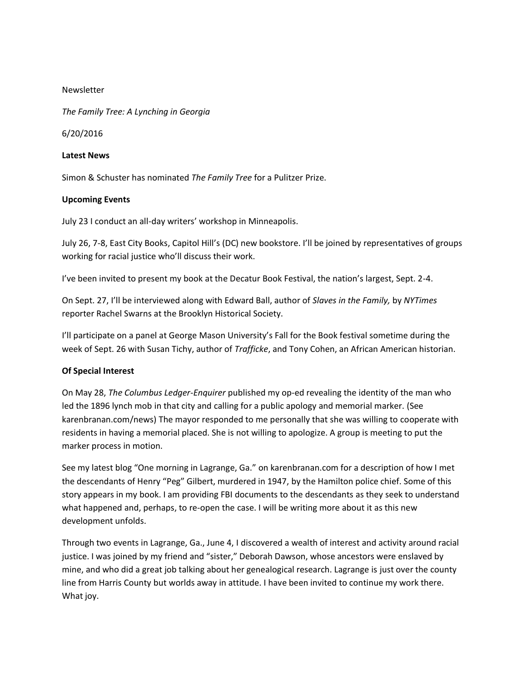## Newsletter

*The Family Tree: A Lynching in Georgia*

6/20/2016

## **Latest News**

Simon & Schuster has nominated *The Family Tree* for a Pulitzer Prize.

## **Upcoming Events**

July 23 I conduct an all-day writers' workshop in Minneapolis.

July 26, 7-8, East City Books, Capitol Hill's (DC) new bookstore. I'll be joined by representatives of groups working for racial justice who'll discuss their work.

I've been invited to present my book at the Decatur Book Festival, the nation's largest, Sept. 2-4.

On Sept. 27, I'll be interviewed along with Edward Ball, author of *Slaves in the Family,* by *NYTimes*  reporter Rachel Swarns at the Brooklyn Historical Society.

I'll participate on a panel at George Mason University's Fall for the Book festival sometime during the week of Sept. 26 with Susan Tichy, author of *Trafficke*, and Tony Cohen, an African American historian.

## **Of Special Interest**

On May 28, *The Columbus Ledger*-*Enquirer* published my op-ed revealing the identity of the man who led the 1896 lynch mob in that city and calling for a public apology and memorial marker. (See karenbranan.com/news) The mayor responded to me personally that she was willing to cooperate with residents in having a memorial placed. She is not willing to apologize. A group is meeting to put the marker process in motion.

See my latest blog "One morning in Lagrange, Ga." on karenbranan.com for a description of how I met the descendants of Henry "Peg" Gilbert, murdered in 1947, by the Hamilton police chief. Some of this story appears in my book. I am providing FBI documents to the descendants as they seek to understand what happened and, perhaps, to re-open the case. I will be writing more about it as this new development unfolds.

Through two events in Lagrange, Ga., June 4, I discovered a wealth of interest and activity around racial justice. I was joined by my friend and "sister," Deborah Dawson, whose ancestors were enslaved by mine, and who did a great job talking about her genealogical research. Lagrange is just over the county line from Harris County but worlds away in attitude. I have been invited to continue my work there. What joy.